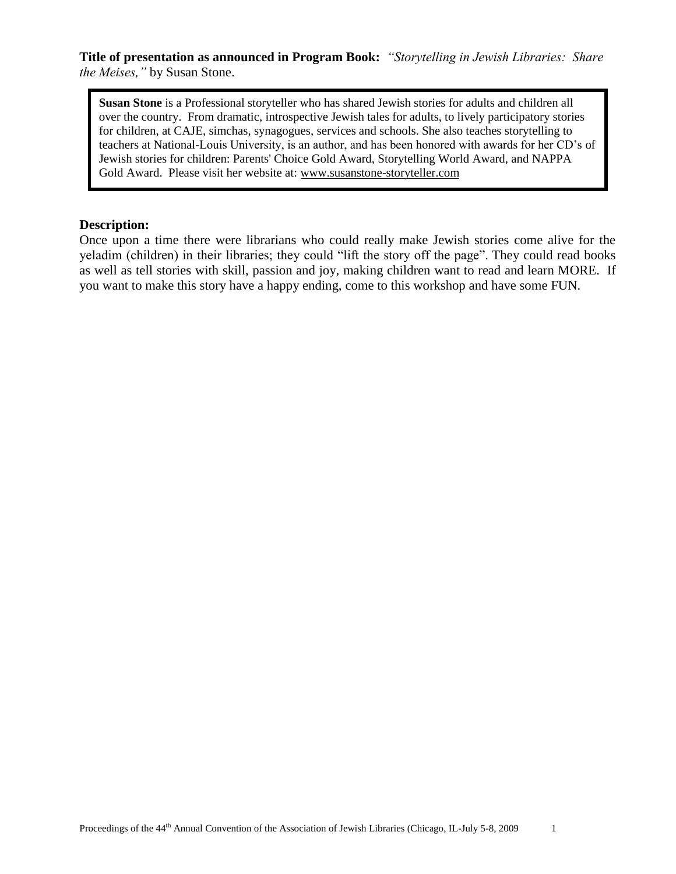**Title of presentation as announced in Program Book:** *"Storytelling in Jewish Libraries: Share the Meises,"* by Susan Stone.

**Susan Stone** is a Professional storyteller who has shared Jewish stories for adults and children all over the country. From dramatic, introspective Jewish tales for adults, to lively participatory stories for children, at CAJE, simchas, synagogues, services and schools. She also teaches storytelling to teachers at National-Louis University, is an author, and has been honored with awards for her CD's of Jewish stories for children: Parents' Choice Gold Award, Storytelling World Award, and NAPPA Gold Award. Please visit her website at: [www.susanstone-storyteller.com](http://www.susanstone-storyteller.com/)

#### **Description:**

Once upon a time there were librarians who could really make Jewish stories come alive for the yeladim (children) in their libraries; they could "lift the story off the page". They could read books as well as tell stories with skill, passion and joy, making children want to read and learn MORE. If you want to make this story have a happy ending, come to this workshop and have some FUN.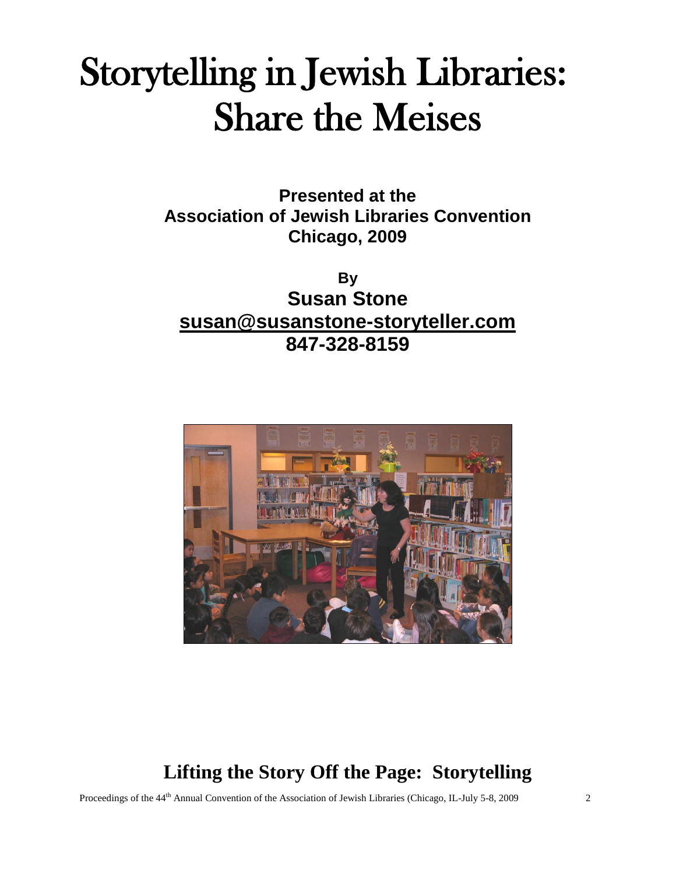# Storytelling in Jewish Libraries: Share the Meises

**Presented at the Association of Jewish Libraries Convention Chicago, 2009**

**By Susan Stone [susan@susanstone-storyteller.com](mailto:susan@susanstone-storyteller.com) 847-328-8159**



## **Lifting the Story Off the Page: Storytelling**

Proceedings of the 44<sup>th</sup> Annual Convention of the Association of Jewish Libraries (Chicago, IL-July 5-8, 2009 2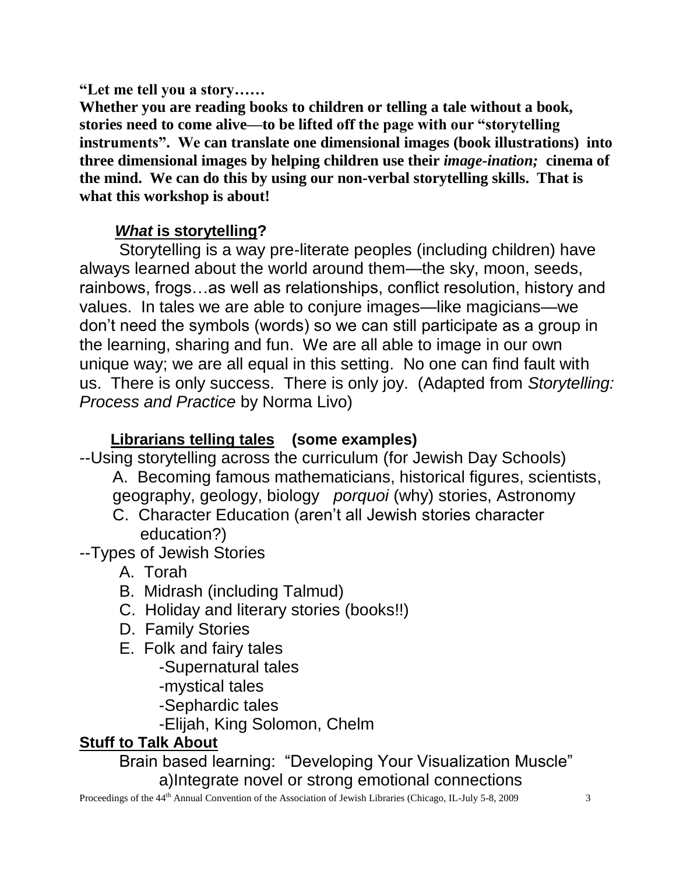**"Let me tell you a story……**

**Whether you are reading books to children or telling a tale without a book, stories need to come alive—to be lifted off the page with our "storytelling instruments". We can translate one dimensional images (book illustrations) into three dimensional images by helping children use their** *image-ination;* **cinema of the mind. We can do this by using our non-verbal storytelling skills. That is what this workshop is about!**

## *What* **is storytelling?**

Storytelling is a way pre-literate peoples (including children) have always learned about the world around them—the sky, moon, seeds, rainbows, frogs…as well as relationships, conflict resolution, history and values. In tales we are able to conjure images—like magicians—we don't need the symbols (words) so we can still participate as a group in the learning, sharing and fun. We are all able to image in our own unique way; we are all equal in this setting. No one can find fault with us. There is only success. There is only joy. (Adapted from *Storytelling: Process and Practice* by Norma Livo)

## **Librarians telling tales (some examples)**

--Using storytelling across the curriculum (for Jewish Day Schools)

- A. Becoming famous mathematicians, historical figures, scientists, geography, geology, biology *porquoi* (why) stories, Astronomy
- C. Character Education (aren't all Jewish stories character education?)
- --Types of Jewish Stories
	- A. Torah
	- B. Midrash (including Talmud)
	- C. Holiday and literary stories (books!!)
	- D. Family Stories
	- E. Folk and fairy tales
		- -Supernatural tales
		- -mystical tales
		- -Sephardic tales
		- -Elijah, King Solomon, Chelm

## **Stuff to Talk About**

Brain based learning: "Developing Your Visualization Muscle" a)Integrate novel or strong emotional connections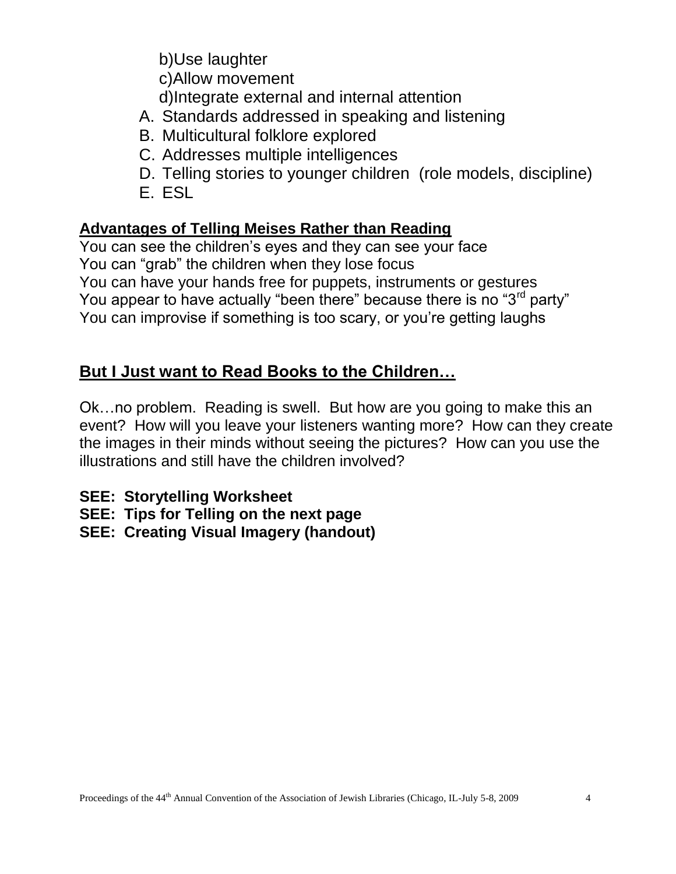b)Use laughter c)Allow movement d)Integrate external and internal attention

## A. Standards addressed in speaking and listening

- B. Multicultural folklore explored
- C. Addresses multiple intelligences
- D. Telling stories to younger children (role models, discipline) E. ESL

## **Advantages of Telling Meises Rather than Reading**

You can see the children's eyes and they can see your face You can "grab" the children when they lose focus You can have your hands free for puppets, instruments or gestures You appear to have actually "been there" because there is no "3<sup>rd</sup> party" You can improvise if something is too scary, or you're getting laughs

## **But I Just want to Read Books to the Children…**

Ok…no problem. Reading is swell. But how are you going to make this an event? How will you leave your listeners wanting more? How can they create the images in their minds without seeing the pictures? How can you use the illustrations and still have the children involved?

- **SEE: Storytelling Worksheet**
- **SEE: Tips for Telling on the next page**
- **SEE: Creating Visual Imagery (handout)**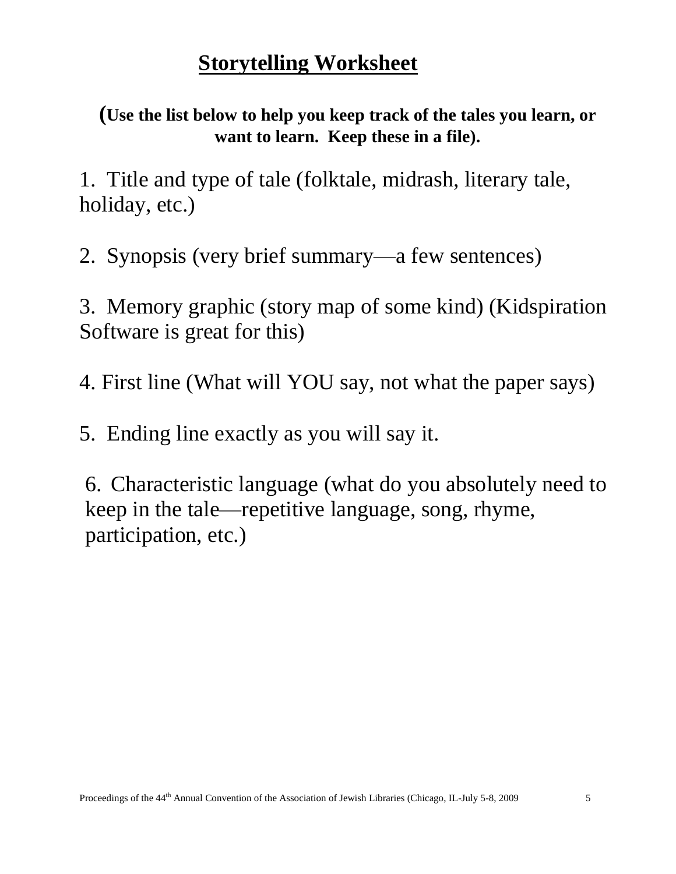## **Storytelling Worksheet**

**(Use the list below to help you keep track of the tales you learn, or want to learn. Keep these in a file).**

1. Title and type of tale (folktale, midrash, literary tale, holiday, etc.)

2. Synopsis (very brief summary—a few sentences)

3. Memory graphic (story map of some kind) (Kidspiration Software is great for this)

4. First line (What will YOU say, not what the paper says)

5. Ending line exactly as you will say it.

6. Characteristic language (what do you absolutely need to keep in the tale—repetitive language, song, rhyme, participation, etc.)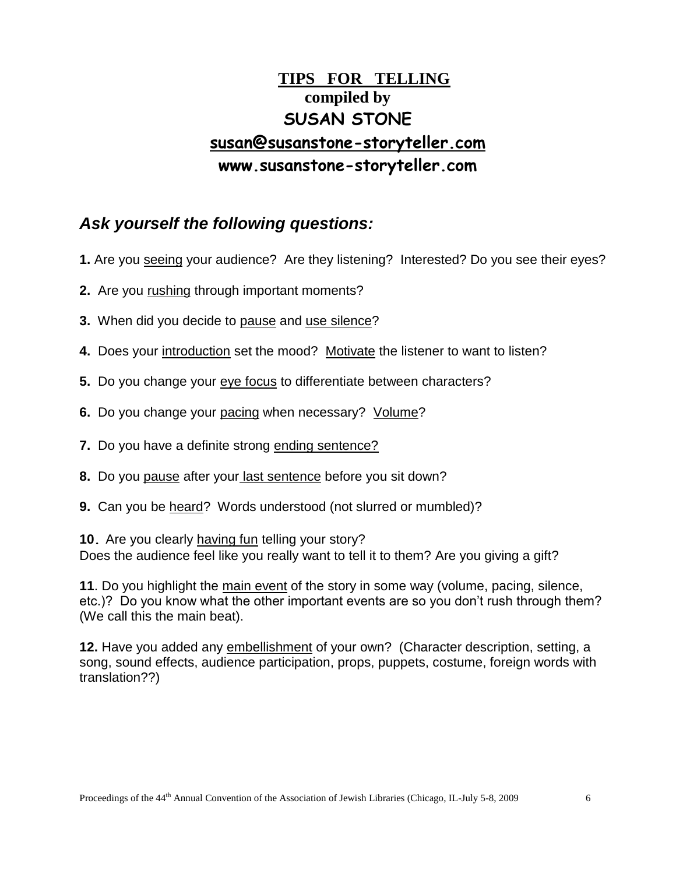## **TIPS FOR TELLING compiled by SUSAN STONE [susan@susanstone-storyteller.com](mailto:susan@susanstone-storyteller.com) www.susanstone-storyteller.com**

#### *Ask yourself the following questions:*

- **1.** Are you seeing your audience? Are they listening? Interested? Do you see their eyes?
- **2.** Are you rushing through important moments?
- **3.** When did you decide to pause and use silence?
- **4.** Does your introduction set the mood? Motivate the listener to want to listen?
- **5.** Do you change your eve focus to differentiate between characters?
- **6.** Do you change your pacing when necessary? Volume?
- **7.** Do you have a definite strong ending sentence?
- **8.** Do you pause after your last sentence before you sit down?
- **9.** Can you be heard? Words understood (not slurred or mumbled)?

**10.** Are you clearly having fun telling your story? Does the audience feel like you really want to tell it to them? Are you giving a gift?

**11**. Do you highlight the main event of the story in some way (volume, pacing, silence, etc.)? Do you know what the other important events are so you don't rush through them? (We call this the main beat).

**12.** Have you added any embellishment of your own? (Character description, setting, a song, sound effects, audience participation, props, puppets, costume, foreign words with translation??)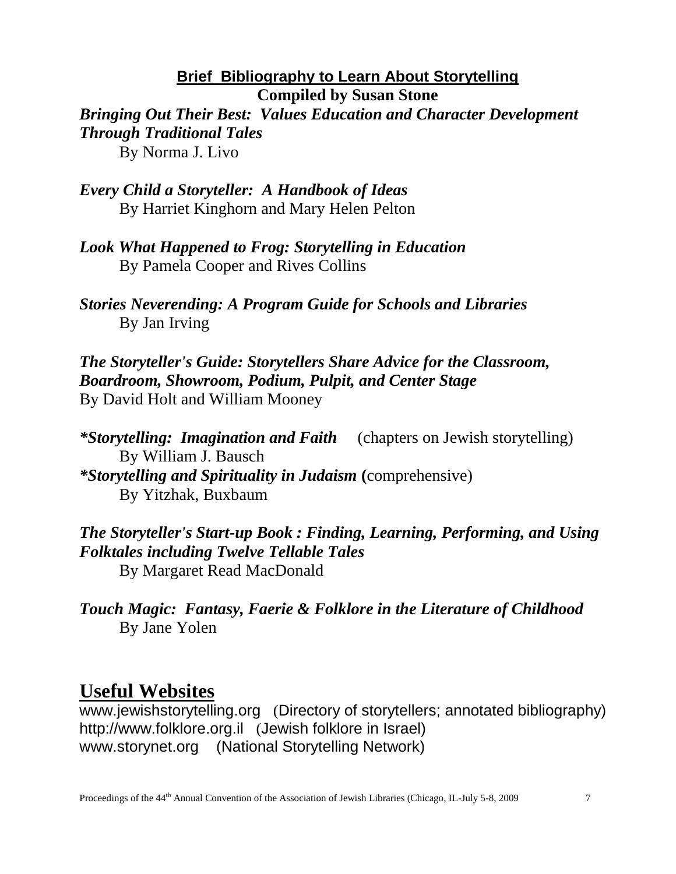#### **Brief Bibliography to Learn About Storytelling Compiled by Susan Stone**

*Bringing Out Their Best: Values Education and Character Development Through Traditional Tales* By Norma J. Livo

*Every Child a Storyteller: A Handbook of Ideas* By Harriet Kinghorn and Mary Helen Pelton

*Look What Happened to Frog: Storytelling in Education* By Pamela Cooper and Rives Collins

*Stories Neverending: A Program Guide for Schools and Libraries* By Jan Irving

*The Storyteller's Guide: Storytellers Share Advice for the Classroom, Boardroom, Showroom, Podium, Pulpit, and Center Stage* By David Holt and William Mooney

*\*Storytelling: Imagination and Faith* (chapters on Jewish storytelling) By William J. Bausch *\*Storytelling and Spirituality in Judaism* **(**comprehensive) By Yitzhak, Buxbaum

*The Storyteller's Start-up Book : Finding, Learning, Performing, and Using Folktales including Twelve Tellable Tales* By Margaret Read MacDonald

*Touch Magic: Fantasy, Faerie & Folklore in the Literature of Childhood* By Jane Yolen

## **Useful Websites**

[www.jewishstorytelling.org](http://www.jewishstorytelling.org/) (Directory of storytellers; annotated bibliography) [http://www.folklore.org.il](http://www.folklore.org.il/) (Jewish folklore in Israel) www.storynet.org (National Storytelling Network)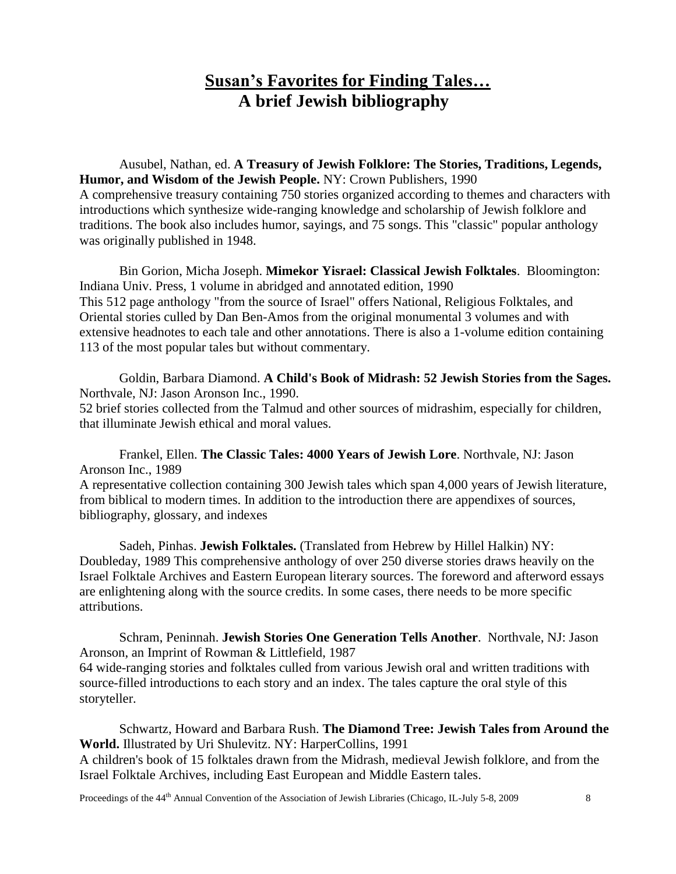#### **Susan's Favorites for Finding Tales… A brief Jewish bibliography**

Ausubel, Nathan, ed. **A Treasury of Jewish Folklore: The Stories, Traditions, Legends, Humor, and Wisdom of the Jewish People.** NY: Crown Publishers, 1990 A comprehensive treasury containing 750 stories organized according to themes and characters with introductions which synthesize wide-ranging knowledge and scholarship of Jewish folklore and traditions. The book also includes humor, sayings, and 75 songs. This "classic" popular anthology was originally published in 1948.

Bin Gorion, Micha Joseph. **Mimekor Yisrael: Classical Jewish Folktales**. Bloomington: Indiana Univ. Press, 1 volume in abridged and annotated edition, 1990 This 512 page anthology "from the source of Israel" offers National, Religious Folktales, and Oriental stories culled by Dan Ben-Amos from the original monumental 3 volumes and with extensive headnotes to each tale and other annotations. There is also a 1-volume edition containing 113 of the most popular tales but without commentary.

Goldin, Barbara Diamond. **A Child's Book of Midrash: 52 Jewish Stories from the Sages.**  Northvale, NJ: Jason Aronson Inc., 1990. 52 brief stories collected from the Talmud and other sources of midrashim, especially for children, that illuminate Jewish ethical and moral values.

Frankel, Ellen. **The Classic Tales: 4000 Years of Jewish Lore**. Northvale, NJ: Jason Aronson Inc., 1989 A representative collection containing 300 Jewish tales which span 4,000 years of Jewish literature, from biblical to modern times. In addition to the introduction there are appendixes of sources, bibliography, glossary, and indexes

Sadeh, Pinhas. **Jewish Folktales.** (Translated from Hebrew by Hillel Halkin) NY: Doubleday, 1989 This comprehensive anthology of over 250 diverse stories draws heavily on the Israel Folktale Archives and Eastern European literary sources. The foreword and afterword essays are enlightening along with the source credits. In some cases, there needs to be more specific attributions.

Schram, Peninnah. **Jewish Stories One Generation Tells Another**. Northvale, NJ: Jason Aronson, an Imprint of Rowman & Littlefield, 1987 64 wide-ranging stories and folktales culled from various Jewish oral and written traditions with source-filled introductions to each story and an index. The tales capture the oral style of this storyteller.

Schwartz, Howard and Barbara Rush. **The Diamond Tree: Jewish Tales from Around the World.** Illustrated by Uri Shulevitz. NY: HarperCollins, 1991 A children's book of 15 folktales drawn from the Midrash, medieval Jewish folklore, and from the Israel Folktale Archives, including East European and Middle Eastern tales.